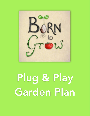

# Plug & Play Garden Plan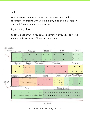Hi there!

It's Paul here with Born to Grow and this is exciting! In this document I'm sharing with you the exact, plug and play garden plan that I'm personally using this year.

So, first things first…

It's always easier when you can see something visually - so here's a quick birds eye view: (I'll explain more below :)



20 Feet

Page 2 | © Born to Grow 2016. All Rights Reserved.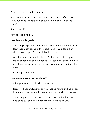A picture is worth a thousand words eh?

In many ways its true and that alone can get you off to a good start. But while I'm at it, how about if I go over a few of the perks?

Sound good?

Alright, let's dive in…

# How big is this garden?

This sample garden is 20x15 feet. While many people have at least that much space in their back yard, if you don't then don't loose hope. You can still get creative!

And hey, this is a sample plan so feel free to scale it up or down depending on your needs. You could cut this same plan in half and simply grow less of each veggie… or double it for more!

Nothing's set in stone. :)

# How many people will this feed?

Oh my! Now that's a loaded question!

It really all depends partly on your eating habits and partly on how much effort you put into making your garden a success.

That being said, I'd start out planting this garden for one to two people. See how it goes for one year and adjust.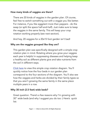# How many kinds of veggies are there?

There are 20 kinds of veggies in the garden plan. Of course, feel free to switch something out with a veggie you like better. For instance, if you like eggplant more than peppers - do the swap (or split the space half-and-half). Just make sure to keep the veggies in the same family. This will keep your crop rotation working properly (see next section).

And hey, 20 veggies for a 20x15 foot garden isn't bad!

### Why are the veggies grouped like they are?

This garden plan was specifically designed with a simple crop rotation plan in mind. Rotating where you grow your veggies each year is helpful in suppressing diseases and helping keep a healthy soil as different plants give and take nutrients from the soil in different ways.

[Click here](http://borntogrow.net/mp3s/2014/01/sample-crop-rotations-basic.jpg) to view this simple crop rotation diagram. You'll quickly notice how the four beds in our garden plan correspond to the four sections of the diagram. You'll also see how the veggies and herbs are divided by their family types so that you aren't growing the same family in the same place multiple years in a row.

# Why 30 inch (2.5 feet) wide beds?

Great question. There's a few reasons why I'm growing with 30" wide beds (and why I suggest you do too :) Here's quick list: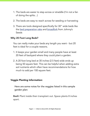- 1. The beds are easier to step across or straddle (I'm not a fan of doing the splits…)
- 2. The beds are easy to reach across for seeding or harvesting
- 3. There are tools designed specifically for 30" wide beds like the [bed preparation rake](http://www.johnnyseeds.com/p-5919-bed-preparation-rake.aspx) and [broadfork](http://www.johnnyseeds.com/p-6619-johnnys-727-broadfork.aspx) from Johnny's Seeds

## Why 20 Foot Long Beds?

You can really make your beds any length you want - but 20 feet is ideal for a couple reasons.

- 1. It keeps your garden small and many people have at least 20 feet of backyard where they could plant a garden.
- 2. A 20 foot long bed at 30 inches (2.5 feet) wide ends up being 50 square feet. This can be helpful when adding extra soil nutrients which often have recommendations for how much to add per 100 square feet.

### Veggie Planting Information:

Here are some notes for the veggies listed in this sample garden plan:

**Basil:** Plant inside then transplant out. Space plants 8 inches apart.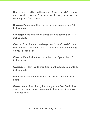Beets: Sow directly into the garden. Sow 10 seeds/ft in a row and then thin plants to 3 inches apart. Note: you can eat the thinnings in a fresh salad!

**Broccoli:** Plant inside then transplant out. Space plants 18 inches apart.

**Cabbage:** Plant inside then transplant out. Space plants 18 inches apart.

**Carrots:** Sow directly into the garden. Sow 30 seeds/ft in a row and then thin plants to 1- 1 1/2 inches apart depending on your desired size.

**Cilantro:** Plant inside then transplant out. Space plants 8 inches apart.

Cucumbers: Plant inside then transplant out. Space plants 18 inches apart.

**Dill:** Plant inside then transplant out. Space plants 8 inches apart.

**Green beans:** Sow directly into the garden. Sow 3-4 inches apart in a row and then thin to 6-8 inches apart. Space rows 14 inches apart.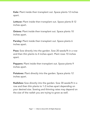Kale: Plant inside then transplant out. Space plants 12 inches apart.

Lettuce: Plant inside then transplant out. Space plants 8-12 inches apart.

**Onions:** Plant inside then transplant out. Space plants 10 inches apart.

Parsley: Plant inside then transplant out. Space plants 6 inches apart.

Peas: Sow directly into the garden. Sow 20 seeds/ft in a row and then thin plants to 4 inches apart. Plant rows 10 inches apart.

**Peppers:** Plant inside then transplant out. Space plants 9 inches apart.

**Potatoes:** Plant directly into the garden. Space plants 12 inches apart.

Radishes: Sow directly into the garden. Sow 30 seeds/ft in a row and then thin plants to 1-2 inches apart depending on your desired size. Sowing and thinning rates may depend on the size of the radish you are trying to grow as well.